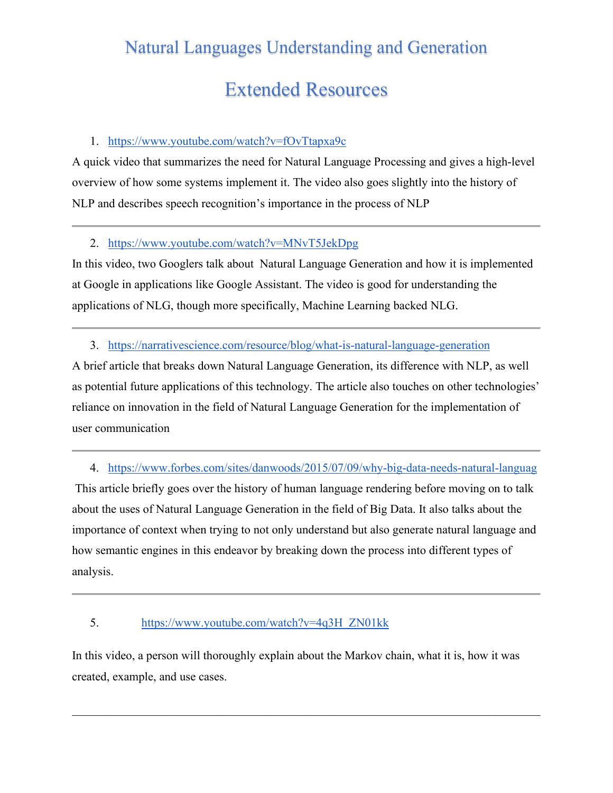## Natural Languages Understanding and Generation

# Extended Resources

#### 1. <https://www.youtube.com/watch?v=fOvTtapxa9c>

A quick video that summarizes the need for Natural Language Processing and gives a high-level overview of how some systems implement it. The video also goes slightly into the history of NLP and describes speech recognition's importance in the process of NLP

#### 2. <https://www.youtube.com/watch?v=MNvT5JekDpg>

In this video, two Googlers talk about Natural Language Generation and how it is implemented at Google in applications like Google Assistant. The video is good for understanding the applications of NLG, though more specifically, Machine Learning backed NLG.

#### 3. <https://narrativescience.com/resource/blog/what-is-natural-language-generation>

A brief article that breaks down Natural Language Generation, its difference with NLP, as well as potential future applications of this technology. The article also touches on other technologies' reliance on innovation in the field of Natural Language Generation for the implementation of user communication

4. [https://www.forbes.com/sites/danwoods/2015/07/09/why-big-data-needs-natural-languag](https://www.forbes.com/sites/danwoods/2015/07/09/why-big-data-needs-natural-language-generation-to-work/#5ac1f5c0156c)

This article briefly goes over the history of human language rendering before moving on to talk about the uses of Natural Language Generation in the field of Big Data. It also talks about the importance of context when trying to not only understand but also generate natural language and how semantic engines in this endeavor by breaking down the process into different types of analysis.

#### 5. [https://www.youtube.com/watch?v=4q3H\\_ZN01kk](https://www.youtube.com/watch?v=4q3H_ZN01kk)

In this video, a person will thoroughly explain about the Markov chain, what it is, how it was created, example, and use cases.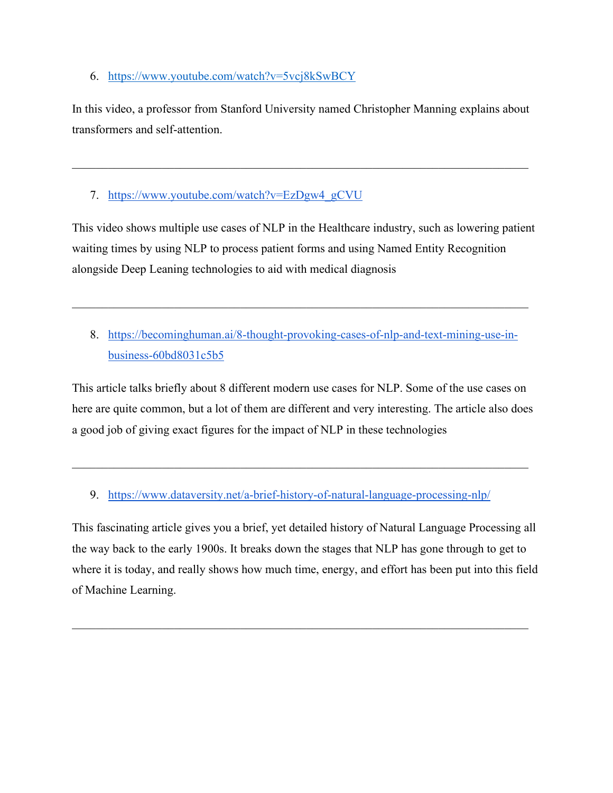6. <https://www.youtube.com/watch?v=5vcj8kSwBCY>

In this video, a professor from Stanford University named Christopher Manning explains about transformers and self-attention.

 $\mathcal{L}_\mathcal{L} = \mathcal{L}_\mathcal{L} = \mathcal{L}_\mathcal{L} = \mathcal{L}_\mathcal{L} = \mathcal{L}_\mathcal{L} = \mathcal{L}_\mathcal{L} = \mathcal{L}_\mathcal{L} = \mathcal{L}_\mathcal{L} = \mathcal{L}_\mathcal{L} = \mathcal{L}_\mathcal{L} = \mathcal{L}_\mathcal{L} = \mathcal{L}_\mathcal{L} = \mathcal{L}_\mathcal{L} = \mathcal{L}_\mathcal{L} = \mathcal{L}_\mathcal{L} = \mathcal{L}_\mathcal{L} = \mathcal{L}_\mathcal{L}$ 

7. https://www.youtube.com/watch?v=EzDgw4\_gCVU

This video shows multiple use cases of NLP in the Healthcare industry, such as lowering patient waiting times by using NLP to process patient forms and using Named Entity Recognition alongside Deep Leaning technologies to aid with medical diagnosis

8. [https://becominghuman.ai/8-thought-provoking-cases-of-nlp-and-text-mining-use-in](https://becominghuman.ai/8-thought-provoking-cases-of-nlp-and-text-mining-use-in-business-60bd8031c5b5)[business-60bd8031c5b5](https://becominghuman.ai/8-thought-provoking-cases-of-nlp-and-text-mining-use-in-business-60bd8031c5b5)

\_\_\_\_\_\_\_\_\_\_\_\_\_\_\_\_\_\_\_\_\_\_\_\_\_\_\_\_\_\_\_\_\_\_\_\_\_\_\_\_\_\_\_\_\_\_\_\_\_\_\_\_\_\_\_\_\_\_\_\_\_\_\_\_\_\_\_\_\_\_\_\_\_\_\_\_

This article talks briefly about 8 different modern use cases for NLP. Some of the use cases on here are quite common, but a lot of them are different and very interesting. The article also does a good job of giving exact figures for the impact of NLP in these technologies

9. <https://www.dataversity.net/a-brief-history-of-natural-language-processing-nlp/>

This fascinating article gives you a brief, yet detailed history of Natural Language Processing all the way back to the early 1900s. It breaks down the stages that NLP has gone through to get to where it is today, and really shows how much time, energy, and effort has been put into this field of Machine Learning.

\_\_\_\_\_\_\_\_\_\_\_\_\_\_\_\_\_\_\_\_\_\_\_\_\_\_\_\_\_\_\_\_\_\_\_\_\_\_\_\_\_\_\_\_\_\_\_\_\_\_\_\_\_\_\_\_\_\_\_\_\_\_\_\_\_\_\_\_\_\_\_\_\_\_\_\_